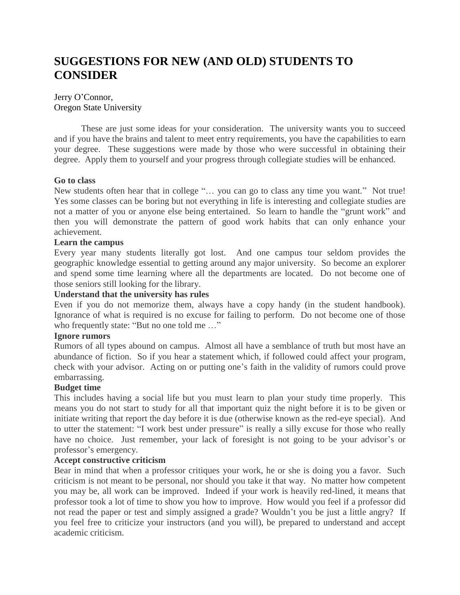# **SUGGESTIONS FOR NEW (AND OLD) STUDENTS TO CONSIDER**

# Jerry O'Connor, Oregon State University

These are just some ideas for your consideration. The university wants you to succeed and if you have the brains and talent to meet entry requirements, you have the capabilities to earn your degree. These suggestions were made by those who were successful in obtaining their degree. Apply them to yourself and your progress through collegiate studies will be enhanced.

# **Go to class**

New students often hear that in college "… you can go to class any time you want." Not true! Yes some classes can be boring but not everything in life is interesting and collegiate studies are not a matter of you or anyone else being entertained. So learn to handle the "grunt work" and then you will demonstrate the pattern of good work habits that can only enhance your achievement.

## **Learn the campus**

Every year many students literally got lost. And one campus tour seldom provides the geographic knowledge essential to getting around any major university. So become an explorer and spend some time learning where all the departments are located. Do not become one of those seniors still looking for the library.

#### **Understand that the university has rules**

Even if you do not memorize them, always have a copy handy (in the student handbook). Ignorance of what is required is no excuse for failing to perform. Do not become one of those who frequently state: "But no one told me …"

## **Ignore rumors**

Rumors of all types abound on campus. Almost all have a semblance of truth but most have an abundance of fiction. So if you hear a statement which, if followed could affect your program, check with your advisor. Acting on or putting one's faith in the validity of rumors could prove embarrassing.

## **Budget time**

This includes having a social life but you must learn to plan your study time properly. This means you do not start to study for all that important quiz the night before it is to be given or initiate writing that report the day before it is due (otherwise known as the red-eye special). And to utter the statement: "I work best under pressure" is really a silly excuse for those who really have no choice. Just remember, your lack of foresight is not going to be your advisor's or professor's emergency.

# **Accept constructive criticism**

Bear in mind that when a professor critiques your work, he or she is doing you a favor. Such criticism is not meant to be personal, nor should you take it that way. No matter how competent you may be, all work can be improved. Indeed if your work is heavily red-lined, it means that professor took a lot of time to show you how to improve. How would you feel if a professor did not read the paper or test and simply assigned a grade? Wouldn't you be just a little angry? If you feel free to criticize your instructors (and you will), be prepared to understand and accept academic criticism.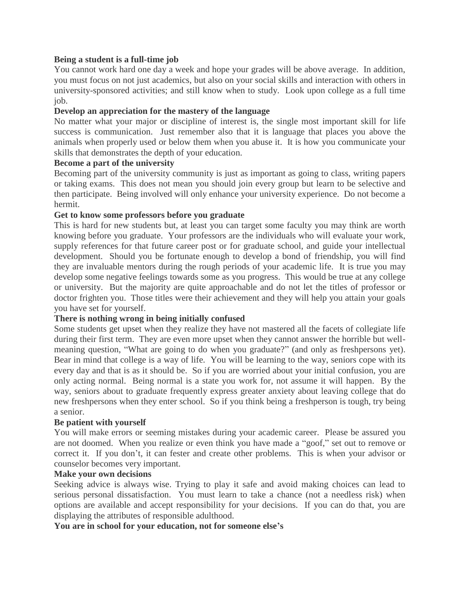## **Being a student is a full-time job**

You cannot work hard one day a week and hope your grades will be above average. In addition, you must focus on not just academics, but also on your social skills and interaction with others in university-sponsored activities; and still know when to study. Look upon college as a full time job.

#### **Develop an appreciation for the mastery of the language**

No matter what your major or discipline of interest is, the single most important skill for life success is communication. Just remember also that it is language that places you above the animals when properly used or below them when you abuse it. It is how you communicate your skills that demonstrates the depth of your education.

## **Become a part of the university**

Becoming part of the university community is just as important as going to class, writing papers or taking exams. This does not mean you should join every group but learn to be selective and then participate. Being involved will only enhance your university experience. Do not become a hermit.

#### **Get to know some professors before you graduate**

This is hard for new students but, at least you can target some faculty you may think are worth knowing before you graduate. Your professors are the individuals who will evaluate your work, supply references for that future career post or for graduate school, and guide your intellectual development. Should you be fortunate enough to develop a bond of friendship, you will find they are invaluable mentors during the rough periods of your academic life. It is true you may develop some negative feelings towards some as you progress. This would be true at any college or university. But the majority are quite approachable and do not let the titles of professor or doctor frighten you. Those titles were their achievement and they will help you attain your goals you have set for yourself.

## **There is nothing wrong in being initially confused**

Some students get upset when they realize they have not mastered all the facets of collegiate life during their first term. They are even more upset when they cannot answer the horrible but wellmeaning question, "What are going to do when you graduate?" (and only as freshpersons yet). Bear in mind that college is a way of life. You will be learning to the way, seniors cope with its every day and that is as it should be. So if you are worried about your initial confusion, you are only acting normal. Being normal is a state you work for, not assume it will happen. By the way, seniors about to graduate frequently express greater anxiety about leaving college that do new freshpersons when they enter school. So if you think being a freshperson is tough, try being a senior.

#### **Be patient with yourself**

You will make errors or seeming mistakes during your academic career. Please be assured you are not doomed. When you realize or even think you have made a "goof," set out to remove or correct it. If you don't, it can fester and create other problems. This is when your advisor or counselor becomes very important.

#### **Make your own decisions**

Seeking advice is always wise. Trying to play it safe and avoid making choices can lead to serious personal dissatisfaction. You must learn to take a chance (not a needless risk) when options are available and accept responsibility for your decisions. If you can do that, you are displaying the attributes of responsible adulthood.

**You are in school for your education, not for someone else's**